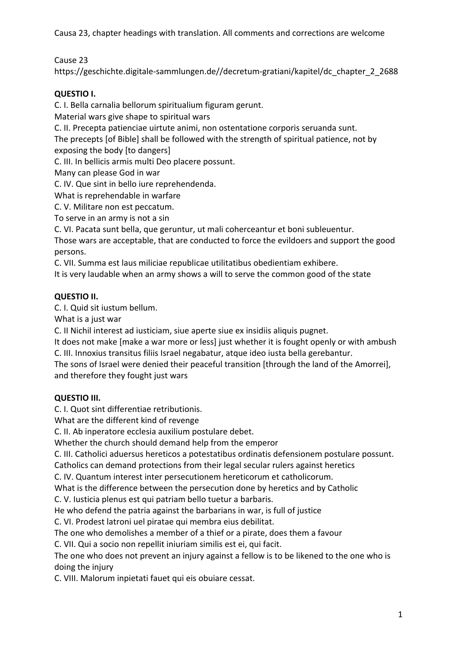Cause 23

https://geschichte.digitale-sammlungen.de//decretum-gratiani/kapitel/dc\_chapter\_2\_2688

# **QUESTIO I.**

C. I. Bella carnalia bellorum spiritualium figuram gerunt.

Material wars give shape to spiritual wars

C. II. Precepta patienciae uirtute animi, non ostentatione corporis seruanda sunt.

The precepts [of Bible] shall be followed with the strength of spiritual patience, not by exposing the body [to dangers]

C. III. In bellicis armis multi Deo placere possunt.

Many can please God in war

C. IV. Que sint in bello iure reprehendenda.

What is reprehendable in warfare

C. V. Militare non est peccatum.

To serve in an army is not a sin

C. VI. Pacata sunt bella, que geruntur, ut mali coherceantur et boni subleuentur.

Those wars are acceptable, that are conducted to force the evildoers and support the good persons.

C. VII. Summa est laus miliciae republicae utilitatibus obedientiam exhibere.

It is very laudable when an army shows a will to serve the common good of the state

## **QUESTIO II.**

C. I. Quid sit iustum bellum.

What is a just war

C. II Nichil interest ad iusticiam, siue aperte siue ex insidiis aliquis pugnet.

It does not make [make a war more or less] just whether it is fought openly or with ambush C. III. Innoxius transitus filiis Israel negabatur, atque ideo iusta bella gerebantur.

The sons of Israel were denied their peaceful transition [through the land of the Amorrei], and therefore they fought just wars

## **QUESTIO III.**

C. I. Quot sint differentiae retributionis.

What are the different kind of revenge

C. II. Ab inperatore ecclesia auxilium postulare debet.

Whether the church should demand help from the emperor

C. III. Catholici aduersus hereticos a potestatibus ordinatis defensionem postulare possunt.

Catholics can demand protections from their legal secular rulers against heretics

C. IV. Quantum interest inter persecutionem hereticorum et catholicorum.

What is the difference between the persecution done by heretics and by Catholic

C. V. Iusticia plenus est qui patriam bello tuetur a barbaris.

He who defend the patria against the barbarians in war, is full of justice

C. VI. Prodest latroni uel piratae qui membra eius debilitat.

The one who demolishes a member of a thief or a pirate, does them a favour

C. VII. Qui a socio non repellit iniuriam similis est ei, qui facit.

The one who does not prevent an injury against a fellow is to be likened to the one who is doing the injury

C. VIII. Malorum inpietati fauet qui eis obuiare cessat.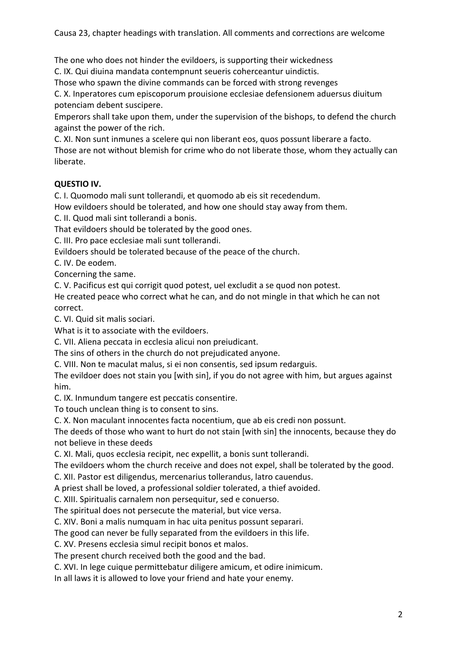The one who does not hinder the evildoers, is supporting their wickedness

C. IX. Qui diuina mandata contempnunt seueris coherceantur uindictis.

Those who spawn the divine commands can be forced with strong revenges

C. X. Inperatores cum episcoporum prouisione ecclesiae defensionem aduersus diuitum potenciam debent suscipere.

Emperors shall take upon them, under the supervision of the bishops, to defend the church against the power of the rich.

C. XI. Non sunt inmunes a scelere qui non liberant eos, quos possunt liberare a facto.

Those are not without blemish for crime who do not liberate those, whom they actually can liberate.

## **QUESTIO IV.**

C. I. Quomodo mali sunt tollerandi, et quomodo ab eis sit recedendum.

How evildoers should be tolerated, and how one should stay away from them.

C. II. Quod mali sint tollerandi a bonis.

That evildoers should be tolerated by the good ones.

C. III. Pro pace ecclesiae mali sunt tollerandi.

Evildoers should be tolerated because of the peace of the church.

C. IV. De eodem.

Concerning the same.

C. V. Pacificus est qui corrigit quod potest, uel excludit a se quod non potest.

He created peace who correct what he can, and do not mingle in that which he can not correct.

C. VI. Quid sit malis sociari.

What is it to associate with the evildoers.

C. VII. Aliena peccata in ecclesia alicui non preiudicant.

The sins of others in the church do not prejudicated anyone.

C. VIII. Non te maculat malus, si ei non consentis, sed ipsum redarguis.

The evildoer does not stain you [with sin], if you do not agree with him, but argues against him.

C. IX. Inmundum tangere est peccatis consentire.

To touch unclean thing is to consent to sins.

C. X. Non maculant innocentes facta nocentium, que ab eis credi non possunt.

The deeds of those who want to hurt do not stain [with sin] the innocents, because they do not believe in these deeds

C. XI. Mali, quos ecclesia recipit, nec expellit, a bonis sunt tollerandi.

The evildoers whom the church receive and does not expel, shall be tolerated by the good.

C. XII. Pastor est diligendus, mercenarius tollerandus, latro cauendus.

A priest shall be loved, a professional soldier tolerated, a thief avoided.

C. XIII. Spiritualis carnalem non persequitur, sed e conuerso.

The spiritual does not persecute the material, but vice versa.

C. XIV. Boni a malis numquam in hac uita penitus possunt separari.

The good can never be fully separated from the evildoers in this life.

C. XV. Presens ecclesia simul recipit bonos et malos.

The present church received both the good and the bad.

C. XVI. In lege cuique permittebatur diligere amicum, et odire inimicum.

In all laws it is allowed to love your friend and hate your enemy.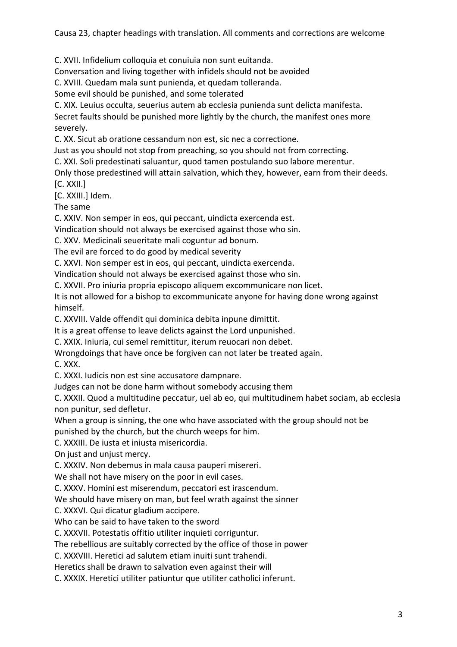C. XVII. Infidelium colloquia et conuiuia non sunt euitanda.

Conversation and living together with infidels should not be avoided

C. XVIII. Quedam mala sunt punienda, et quedam tolleranda.

Some evil should be punished, and some tolerated

C. XIX. Leuius occulta, seuerius autem ab ecclesia punienda sunt delicta manifesta.

Secret faults should be punished more lightly by the church, the manifest ones more severely.

C. XX. Sicut ab oratione cessandum non est, sic nec a correctione.

Just as you should not stop from preaching, so you should not from correcting.

C. XXI. Soli predestinati saluantur, quod tamen postulando suo labore merentur.

Only those predestined will attain salvation, which they, however, earn from their deeds. [C. XXII.]

[C. XXIII.] Idem.

The same

C. XXIV. Non semper in eos, qui peccant, uindicta exercenda est.

Vindication should not always be exercised against those who sin.

C. XXV. Medicinali seueritate mali coguntur ad bonum.

The evil are forced to do good by medical severity

C. XXVI. Non semper est in eos, qui peccant, uindicta exercenda.

Vindication should not always be exercised against those who sin.

C. XXVII. Pro iniuria propria episcopo aliquem excommunicare non licet.

It is not allowed for a bishop to excommunicate anyone for having done wrong against himself.

C. XXVIII. Valde offendit qui dominica debita inpune dimittit.

It is a great offense to leave delicts against the Lord unpunished.

C. XXIX. Iniuria, cui semel remittitur, iterum reuocari non debet.

Wrongdoings that have once be forgiven can not later be treated again.

C. XXX.

C. XXXI. Iudicis non est sine accusatore dampnare.

Judges can not be done harm without somebody accusing them

C. XXXII. Quod a multitudine peccatur, uel ab eo, qui multitudinem habet sociam, ab ecclesia non punitur, sed defletur.

When a group is sinning, the one who have associated with the group should not be

punished by the church, but the church weeps for him.

C. XXXIII. De iusta et iniusta misericordia.

On just and unjust mercy.

C. XXXIV. Non debemus in mala causa pauperi misereri.

We shall not have misery on the poor in evil cases.

C. XXXV. Homini est miserendum, peccatori est irascendum.

We should have misery on man, but feel wrath against the sinner

C. XXXVI. Qui dicatur gladium accipere.

Who can be said to have taken to the sword

C. XXXVII. Potestatis offitio utiliter inquieti corriguntur.

The rebellious are suitably corrected by the office of those in power

C. XXXVIII. Heretici ad salutem etiam inuiti sunt trahendi.

Heretics shall be drawn to salvation even against their will

C. XXXIX. Heretici utiliter patiuntur que utiliter catholici inferunt.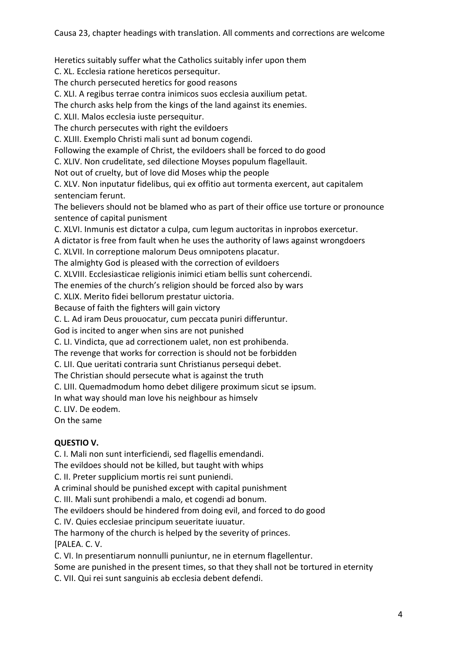Heretics suitably suffer what the Catholics suitably infer upon them

C. XL. Ecclesia ratione hereticos persequitur.

The church persecuted heretics for good reasons

C. XLI. A regibus terrae contra inimicos suos ecclesia auxilium petat.

The church asks help from the kings of the land against its enemies.

C. XLII. Malos ecclesia iuste persequitur.

The church persecutes with right the evildoers

C. XLIII. Exemplo Christi mali sunt ad bonum cogendi.

Following the example of Christ, the evildoers shall be forced to do good

C. XLIV. Non crudelitate, sed dilectione Moyses populum flagellauit.

Not out of cruelty, but of love did Moses whip the people

C. XLV. Non inputatur fidelibus, qui ex offitio aut tormenta exercent, aut capitalem sentenciam ferunt.

The believers should not be blamed who as part of their office use torture or pronounce sentence of capital punisment

C. XLVI. Inmunis est dictator a culpa, cum legum auctoritas in inprobos exercetur.

A dictator is free from fault when he uses the authority of laws against wrongdoers

C. XLVII. In correptione malorum Deus omnipotens placatur.

The almighty God is pleased with the correction of evildoers

C. XLVIII. Ecclesiasticae religionis inimici etiam bellis sunt cohercendi.

The enemies of the church's religion should be forced also by wars

C. XLIX. Merito fidei bellorum prestatur uictoria.

Because of faith the fighters will gain victory

C. L. Ad iram Deus prouocatur, cum peccata puniri differuntur.

God is incited to anger when sins are not punished

C. LI. Vindicta, que ad correctionem ualet, non est prohibenda.

The revenge that works for correction is should not be forbidden

C. LII. Que ueritati contraria sunt Christianus persequi debet.

The Christian should persecute what is against the truth

C. LIII. Quemadmodum homo debet diligere proximum sicut se ipsum.

In what way should man love his neighbour as himselv

C. LIV. De eodem.

On the same

#### **QUESTIO V.**

C. I. Mali non sunt interficiendi, sed flagellis emendandi.

The evildoes should not be killed, but taught with whips

C. II. Preter supplicium mortis rei sunt puniendi.

A criminal should be punished except with capital punishment

C. III. Mali sunt prohibendi a malo, et cogendi ad bonum.

The evildoers should be hindered from doing evil, and forced to do good

C. IV. Quies ecclesiae principum seueritate iuuatur.

The harmony of the church is helped by the severity of princes.

[PALEA. C. V.

C. VI. In presentiarum nonnulli puniuntur, ne in eternum flagellentur.

Some are punished in the present times, so that they shall not be tortured in eternity

C. VII. Qui rei sunt sanguinis ab ecclesia debent defendi.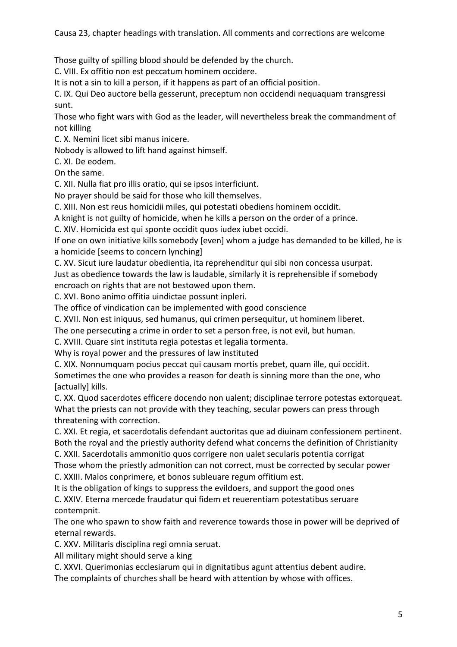Those guilty of spilling blood should be defended by the church.

C. VIII. Ex offitio non est peccatum hominem occidere.

It is not a sin to kill a person, if it happens as part of an official position.

C. IX. Qui Deo auctore bella gesserunt, preceptum non occidendi nequaquam transgressi sunt.

Those who fight wars with God as the leader, will nevertheless break the commandment of not killing

C. X. Nemini licet sibi manus inicere.

Nobody is allowed to lift hand against himself.

C. XI. De eodem.

On the same.

C. XII. Nulla fiat pro illis oratio, qui se ipsos interficiunt.

No prayer should be said for those who kill themselves.

C. XIII. Non est reus homicidii miles, qui potestati obediens hominem occidit.

A knight is not guilty of homicide, when he kills a person on the order of a prince.

C. XIV. Homicida est qui sponte occidit quos iudex iubet occidi.

If one on own initiative kills somebody [even] whom a judge has demanded to be killed, he is a homicide [seems to concern lynching]

C. XV. Sicut iure laudatur obedientia, ita reprehenditur qui sibi non concessa usurpat.

Just as obedience towards the law is laudable, similarly it is reprehensible if somebody encroach on rights that are not bestowed upon them.

C. XVI. Bono animo offitia uindictae possunt inpleri.

The office of vindication can be implemented with good conscience

C. XVII. Non est iniquus, sed humanus, qui crimen persequitur, ut hominem liberet.

The one persecuting a crime in order to set a person free, is not evil, but human.

C. XVIII. Quare sint instituta regia potestas et legalia tormenta.

Why is royal power and the pressures of law instituted

C. XIX. Nonnumquam pocius peccat qui causam mortis prebet, quam ille, qui occidit.

Sometimes the one who provides a reason for death is sinning more than the one, who [actually] kills.

C. XX. Quod sacerdotes efficere docendo non ualent; disciplinae terrore potestas extorqueat. What the priests can not provide with they teaching, secular powers can press through threatening with correction.

C. XXI. Et regia, et sacerdotalis defendant auctoritas que ad diuinam confessionem pertinent. Both the royal and the priestly authority defend what concerns the definition of Christianity

C. XXII. Sacerdotalis ammonitio quos corrigere non ualet secularis potentia corrigat

Those whom the priestly admonition can not correct, must be corrected by secular power C. XXIII. Malos conprimere, et bonos subleuare regum offitium est.

It is the obligation of kings to suppress the evildoers, and support the good ones

C. XXIV. Eterna mercede fraudatur qui fidem et reuerentiam potestatibus seruare contempnit.

The one who spawn to show faith and reverence towards those in power will be deprived of eternal rewards.

C. XXV. Militaris disciplina regi omnia seruat.

All military might should serve a king

C. XXVI. Querimonias ecclesiarum qui in dignitatibus agunt attentius debent audire.

The complaints of churches shall be heard with attention by whose with offices.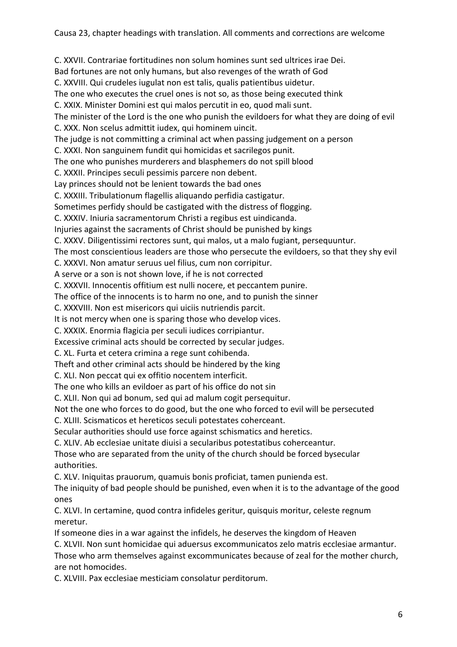C. XXVII. Contrariae fortitudines non solum homines sunt sed ultrices irae Dei. Bad fortunes are not only humans, but also revenges of the wrath of God C. XXVIII. Qui crudeles iugulat non est talis, qualis patientibus uidetur. The one who executes the cruel ones is not so, as those being executed think C. XXIX. Minister Domini est qui malos percutit in eo, quod mali sunt. The minister of the Lord is the one who punish the evildoers for what they are doing of evil C. XXX. Non scelus admittit iudex, qui hominem uincit. The judge is not committing a criminal act when passing judgement on a person C. XXXI. Non sanguinem fundit qui homicidas et sacrilegos punit. The one who punishes murderers and blasphemers do not spill blood C. XXXII. Principes seculi pessimis parcere non debent. Lay princes should not be lenient towards the bad ones C. XXXIII. Tribulationum flagellis aliquando perfidia castigatur. Sometimes perfidy should be castigated with the distress of flogging. C. XXXIV. Iniuria sacramentorum Christi a regibus est uindicanda. Injuries against the sacraments of Christ should be punished by kings C. XXXV. Diligentissimi rectores sunt, qui malos, ut a malo fugiant, persequuntur. The most conscientious leaders are those who persecute the evildoers, so that they shy evil C. XXXVI. Non amatur seruus uel filius, cum non corripitur. A serve or a son is not shown love, if he is not corrected C. XXXVII. Innocentis offitium est nulli nocere, et peccantem punire. The office of the innocents is to harm no one, and to punish the sinner C. XXXVIII. Non est misericors qui uiciis nutriendis parcit. It is not mercy when one is sparing those who develop vices. C. XXXIX. Enormia flagicia per seculi iudices corripiantur. Excessive criminal acts should be corrected by secular judges. C. XL. Furta et cetera crimina a rege sunt cohibenda. Theft and other criminal acts should be hindered by the king C. XLI. Non peccat qui ex offitio nocentem interficit. The one who kills an evildoer as part of his office do not sin C. XLII. Non qui ad bonum, sed qui ad malum cogit persequitur. Not the one who forces to do good, but the one who forced to evil will be persecuted C. XLIII. Scismaticos et hereticos seculi potestates coherceant. Secular authorities should use force against schismatics and heretics. C. XLIV. Ab ecclesiae unitate diuisi a secularibus potestatibus coherceantur. Those who are separated from the unity of the church should be forced bysecular authorities. C. XLV. Iniquitas prauorum, quamuis bonis proficiat, tamen punienda est. The iniquity of bad people should be punished, even when it is to the advantage of the good ones C. XLVI. In certamine, quod contra infideles geritur, quisquis moritur, celeste regnum meretur. If someone dies in a war against the infidels, he deserves the kingdom of Heaven C. XLVII. Non sunt homicidae qui aduersus excommunicatos zelo matris ecclesiae armantur.

Those who arm themselves against excommunicates because of zeal for the mother church, are not homocides.

C. XLVIII. Pax ecclesiae mesticiam consolatur perditorum.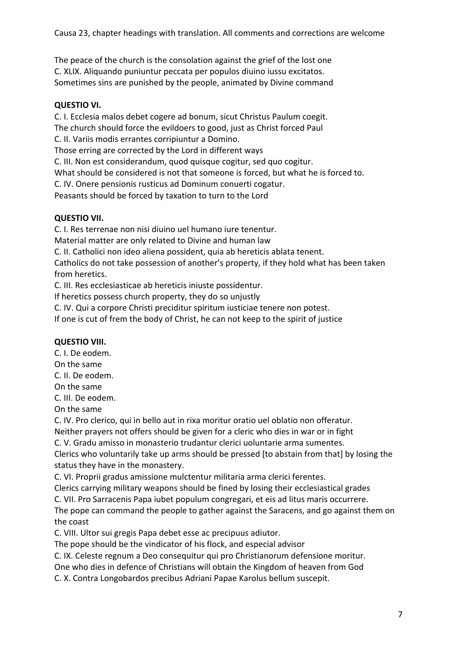The peace of the church is the consolation against the grief of the lost one C. XLIX. Aliquando puniuntur peccata per populos diuino iussu excitatos. Sometimes sins are punished by the people, animated by Divine command

## **QUESTIO VI.**

C. I. Ecclesia malos debet cogere ad bonum, sicut Christus Paulum coegit. The church should force the evildoers to good, just as Christ forced Paul C. II. Variis modis errantes corripiuntur a Domino.

Those erring are corrected by the Lord in different ways

C. III. Non est considerandum, quod quisque cogitur, sed quo cogitur.

What should be considered is not that someone is forced, but what he is forced to.

C. IV. Onere pensionis rusticus ad Dominum conuerti cogatur.

Peasants should be forced by taxation to turn to the Lord

## **QUESTIO VII.**

C. I. Res terrenae non nisi diuino uel humano iure tenentur.

Material matter are only related to Divine and human law

C. II. Catholici non ideo aliena possident, quia ab hereticis ablata tenent.

Catholics do not take possession of another's property, if they hold what has been taken from heretics.

C. III. Res ecclesiasticae ab hereticis iniuste possidentur.

If heretics possess church property, they do so unjustly

C. IV. Qui a corpore Christi preciditur spiritum iusticiae tenere non potest.

If one is cut of frem the body of Christ, he can not keep to the spirit of justice

#### **QUESTIO VIII.**

C. I. De eodem. On the same C. II. De eodem. On the same C. III. De eodem.

On the same

C. IV. Pro clerico, qui in bello aut in rixa moritur oratio uel oblatio non offeratur.

Neither prayers not offers should be given for a cleric who dies in war or in fight

C. V. Gradu amisso in monasterio trudantur clerici uoluntarie arma sumentes.

Clerics who voluntarily take up arms should be pressed [to abstain from that] by losing the status they have in the monastery.

C. VI. Proprii gradus amissione mulctentur militaria arma clerici ferentes.

Clerics carrying military weapons should be fined by losing their ecclesiastical grades

C. VII. Pro Sarracenis Papa iubet populum congregari, et eis ad litus maris occurrere.

The pope can command the people to gather against the Saracens, and go against them on the coast

C. VIII. Ultor sui gregis Papa debet esse ac precipuus adiutor.

The pope should be the vindicator of his flock, and especial advisor

C. IX. Celeste regnum a Deo consequitur qui pro Christianorum defensione moritur.

One who dies in defence of Christians will obtain the Kingdom of heaven from God

C. X. Contra Longobardos precibus Adriani Papae Karolus bellum suscepit.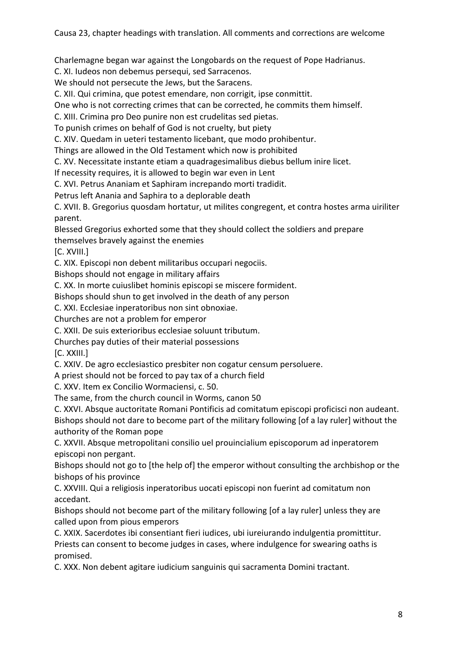Charlemagne began war against the Longobards on the request of Pope Hadrianus.

C. XI. Iudeos non debemus persequi, sed Sarracenos.

We should not persecute the Jews, but the Saracens.

C. XII. Qui crimina, que potest emendare, non corrigit, ipse conmittit.

One who is not correcting crimes that can be corrected, he commits them himself.

C. XIII. Crimina pro Deo punire non est crudelitas sed pietas.

To punish crimes on behalf of God is not cruelty, but piety

C. XIV. Quedam in ueteri testamento licebant, que modo prohibentur.

Things are allowed in the Old Testament which now is prohibited

C. XV. Necessitate instante etiam a quadragesimalibus diebus bellum inire licet.

If necessity requires, it is allowed to begin war even in Lent

C. XVI. Petrus Ananiam et Saphiram increpando morti tradidit.

Petrus left Anania and Saphira to a deplorable death

C. XVII. B. Gregorius quosdam hortatur, ut milites congregent, et contra hostes arma uiriliter parent.

Blessed Gregorius exhorted some that they should collect the soldiers and prepare

themselves bravely against the enemies

[C. XVIII.]

C. XIX. Episcopi non debent militaribus occupari negociis.

Bishops should not engage in military affairs

C. XX. In morte cuiuslibet hominis episcopi se miscere formident.

Bishops should shun to get involved in the death of any person

C. XXI. Ecclesiae inperatoribus non sint obnoxiae.

Churches are not a problem for emperor

C. XXII. De suis exterioribus ecclesiae soluunt tributum.

Churches pay duties of their material possessions

[C. XXIII.]

C. XXIV. De agro ecclesiastico presbiter non cogatur censum persoluere.

A priest should not be forced to pay tax of a church field

C. XXV. Item ex Concilio Wormaciensi, c. 50.

The same, from the church council in Worms, canon 50

C. XXVI. Absque auctoritate Romani Pontificis ad comitatum episcopi proficisci non audeant. Bishops should not dare to become part of the military following [of a lay ruler] without the authority of the Roman pope

C. XXVII. Absque metropolitani consilio uel prouincialium episcoporum ad inperatorem episcopi non pergant.

Bishops should not go to [the help of] the emperor without consulting the archbishop or the bishops of his province

C. XXVIII. Qui a religiosis inperatoribus uocati episcopi non fuerint ad comitatum non accedant.

Bishops should not become part of the military following [of a lay ruler] unless they are called upon from pious emperors

C. XXIX. Sacerdotes ibi consentiant fieri iudices, ubi iureiurando indulgentia promittitur. Priests can consent to become judges in cases, where indulgence for swearing oaths is promised.

C. XXX. Non debent agitare iudicium sanguinis qui sacramenta Domini tractant.